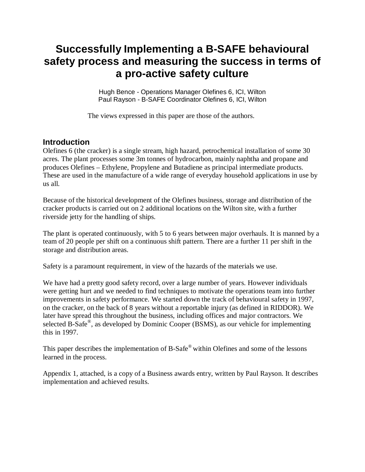# **Successfully Implementing a B-SAFE behavioural safety process and measuring the success in terms of a pro-active safety culture**

Hugh Bence - Operations Manager Olefines 6, ICI, Wilton Paul Rayson - B-SAFE Coordinator Olefines 6, ICI, Wilton

The views expressed in this paper are those of the authors.

# **Introduction**

Olefines 6 (the cracker) is a single stream, high hazard, petrochemical installation of some 30 acres. The plant processes some 3m tonnes of hydrocarbon, mainly naphtha and propane and produces Olefines – Ethylene, Propylene and Butadiene as principal intermediate products. These are used in the manufacture of a wide range of everyday household applications in use by us all.

Because of the historical development of the Olefines business, storage and distribution of the cracker products is carried out on 2 additional locations on the Wilton site, with a further riverside jetty for the handling of ships.

The plant is operated continuously, with 5 to 6 years between major overhauls. It is manned by a team of 20 people per shift on a continuous shift pattern. There are a further 11 per shift in the storage and distribution areas.

Safety is a paramount requirement, in view of the hazards of the materials we use.

We have had a pretty good safety record, over a large number of years. However individuals were getting hurt and we needed to find techniques to motivate the operations team into further improvements in safety performance. We started down the track of behavioural safety in 1997, on the cracker, on the back of 8 years without a reportable injury (as defined in RIDDOR). We later have spread this throughout the business, including offices and major contractors. We selected B-Safe®, as developed by Dominic Cooper (BSMS), as our vehicle for implementing this in 1997.

This paper describes the implementation of B-Safe® within Olefines and some of the lessons learned in the process.

Appendix 1, attached, is a copy of a Business awards entry, written by Paul Rayson. It describes implementation and achieved results.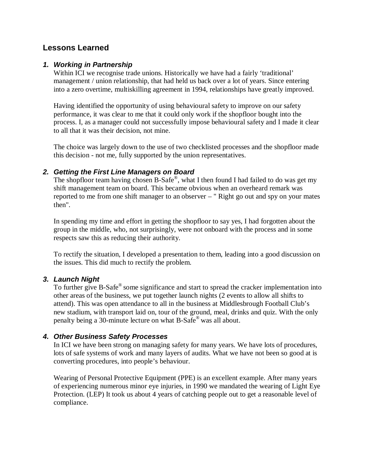# **Lessons Learned**

#### *1. Working in Partnership*

Within ICI we recognise trade unions. Historically we have had a fairly 'traditional' management / union relationship, that had held us back over a lot of years. Since entering into a zero overtime, multiskilling agreement in 1994, relationships have greatly improved.

Having identified the opportunity of using behavioural safety to improve on our safety performance, it was clear to me that it could only work if the shopfloor bought into the process. I, as a manager could not successfully impose behavioural safety and I made it clear to all that it was their decision, not mine.

The choice was largely down to the use of two checklisted processes and the shopfloor made this decision - not me, fully supported by the union representatives.

#### *2. Getting the First Line Managers on Board*

The shopfloor team having chosen B-Safe®, what I then found I had failed to do was get my shift management team on board. This became obvious when an overheard remark was reported to me from one shift manager to an observer – " Right go out and spy on your mates then".

In spending my time and effort in getting the shopfloor to say yes, I had forgotten about the group in the middle, who, not surprisingly, were not onboard with the process and in some respects saw this as reducing their authority.

To rectify the situation, I developed a presentation to them, leading into a good discussion on the issues. This did much to rectify the problem.

### *3. Launch Night*

To further give B-Safe<sup>®</sup> some significance and start to spread the cracker implementation into other areas of the business, we put together launch nights (2 events to allow all shifts to attend). This was open attendance to all in the business at Middlesbrough Football Club's new stadium, with transport laid on, tour of the ground, meal, drinks and quiz. With the only penalty being a 30-minute lecture on what B-Safe® was all about.

#### *4. Other Business Safety Processes*

In ICI we have been strong on managing safety for many years. We have lots of procedures, lots of safe systems of work and many layers of audits. What we have not been so good at is converting procedures, into people's behaviour.

Wearing of Personal Protective Equipment (PPE) is an excellent example. After many years of experiencing numerous minor eye injuries, in 1990 we mandated the wearing of Light Eye Protection. (LEP) It took us about 4 years of catching people out to get a reasonable level of compliance.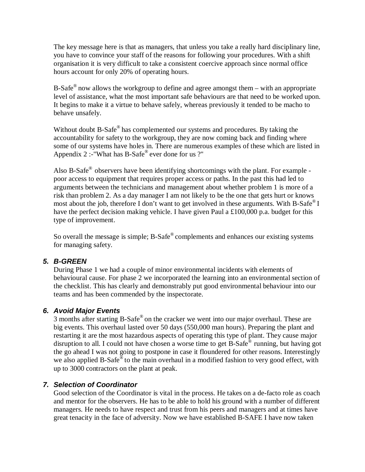The key message here is that as managers, that unless you take a really hard disciplinary line, you have to convince your staff of the reasons for following your procedures. With a shift organisation it is very difficult to take a consistent coercive approach since normal office hours account for only 20% of operating hours.

B-Safe $^{\circledR}$  now allows the workgroup to define and agree amongst them – with an appropriate level of assistance, what the most important safe behaviours are that need to be worked upon. It begins to make it a virtue to behave safely, whereas previously it tended to be macho to behave unsafely.

Without doubt B-Safe® has complemented our systems and procedures. By taking the accountability for safety to the workgroup, they are now coming back and finding where some of our systems have holes in. There are numerous examples of these which are listed in Appendix 2 :-"What has B-Safe® ever done for us ?"

Also B-Safe<sup>®</sup> observers have been identifying shortcomings with the plant. For example poor access to equipment that requires proper access or paths. In the past this had led to arguments between the technicians and management about whether problem 1 is more of a risk than problem 2. As a day manager I am not likely to be the one that gets hurt or knows most about the job, therefore I don't want to get involved in these arguments. With B-Safe<sup>®</sup> I have the perfect decision making vehicle. I have given Paul a £100,000 p.a. budget for this type of improvement.

So overall the message is simple; B-Safe<sup>®</sup> complements and enhances our existing systems for managing safety.

### *5. B-GREEN*

During Phase 1 we had a couple of minor environmental incidents with elements of behavioural cause. For phase 2 we incorporated the learning into an environmental section of the checklist. This has clearly and demonstrably put good environmental behaviour into our teams and has been commended by the inspectorate.

### *6. Avoid Major Events*

3 months after starting B-Safe® on the cracker we went into our major overhaul. These are big events. This overhaul lasted over 50 days (550,000 man hours). Preparing the plant and restarting it are the most hazardous aspects of operating this type of plant. They cause major disruption to all. I could not have chosen a worse time to get B-Safe® running, but having got the go ahead I was not going to postpone in case it floundered for other reasons. Interestingly we also applied B-Safe® to the main overhaul in a modified fashion to very good effect, with up to 3000 contractors on the plant at peak.

### *7. Selection of Coordinator*

Good selection of the Coordinator is vital in the process. He takes on a de-facto role as coach and mentor for the observers. He has to be able to hold his ground with a number of different managers. He needs to have respect and trust from his peers and managers and at times have great tenacity in the face of adversity. Now we have established B-SAFE I have now taken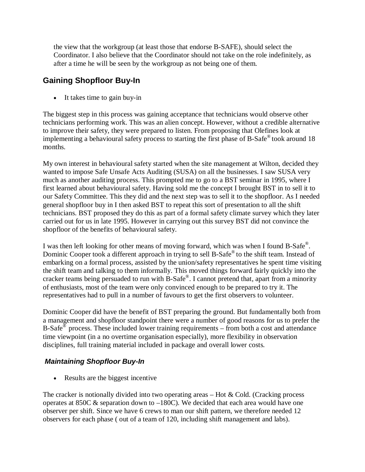the view that the workgroup (at least those that endorse B-SAFE), should select the Coordinator. I also believe that the Coordinator should not take on the role indefinitely, as after a time he will be seen by the workgroup as not being one of them.

# **Gaining Shopfloor Buy-In**

It takes time to gain buy-in

The biggest step in this process was gaining acceptance that technicians would observe other technicians performing work. This was an alien concept. However, without a credible alternative to improve their safety, they were prepared to listen. From proposing that Olefines look at implementing a behavioural safety process to starting the first phase of B-Safe® took around 18 months.

My own interest in behavioural safety started when the site management at Wilton, decided they wanted to impose Safe Unsafe Acts Auditing (SUSA) on all the businesses. I saw SUSA very much as another auditing process. This prompted me to go to a BST seminar in 1995, where I first learned about behavioural safety. Having sold me the concept I brought BST in to sell it to our Safety Committee. This they did and the next step was to sell it to the shopfloor. As I needed general shopfloor buy in I then asked BST to repeat this sort of presentation to all the shift technicians. BST proposed they do this as part of a formal safety climate survey which they later carried out for us in late 1995. However in carrying out this survey BST did not convince the shopfloor of the benefits of behavioural safety.

I was then left looking for other means of moving forward, which was when I found B-Safe®. Dominic Cooper took a different approach in trying to sell B-Safe® to the shift team. Instead of embarking on a formal process, assisted by the union/safety representatives he spent time visiting the shift team and talking to them informally. This moved things forward fairly quickly into the cracker teams being persuaded to run with B-Safe® . I cannot pretend that, apart from a minority of enthusiasts, most of the team were only convinced enough to be prepared to try it. The representatives had to pull in a number of favours to get the first observers to volunteer.

Dominic Cooper did have the benefit of BST preparing the ground. But fundamentally both from a management and shopfloor standpoint there were a number of good reasons for us to prefer the B-Safe $\overline{}}^{\otimes}$  process. These included lower training requirements – from both a cost and attendance time viewpoint (in a no overtime organisation especially), more flexibility in observation disciplines, full training material included in package and overall lower costs.

# *Maintaining Shopfloor Buy-In*

• Results are the biggest incentive

The cracker is notionally divided into two operating areas  $-$  Hot & Cold. (Cracking process operates at 850C & separation down to –180C). We decided that each area would have one observer per shift. Since we have 6 crews to man our shift pattern, we therefore needed 12 observers for each phase ( out of a team of 120, including shift management and labs).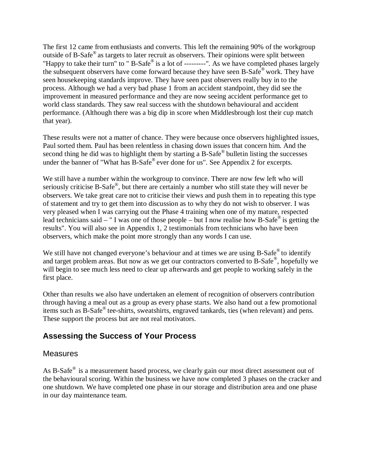The first 12 came from enthusiasts and converts. This left the remaining 90% of the workgroup outside of B-Safe® as targets to later recruit as observers. Their opinions were split between "Happy to take their turn" to " B-Safe® is a lot of ---------". As we have completed phases largely the subsequent observers have come forward because they have seen B-Safe® work. They have seen housekeeping standards improve. They have seen past observers really buy in to the process. Although we had a very bad phase 1 from an accident standpoint, they did see the improvement in measured performance and they are now seeing accident performance get to world class standards. They saw real success with the shutdown behavioural and accident performance. (Although there was a big dip in score when Middlesbrough lost their cup match that year).

These results were not a matter of chance. They were because once observers highlighted issues, Paul sorted them. Paul has been relentless in chasing down issues that concern him. And the second thing he did was to highlight them by starting a B-Safe® bulletin listing the successes under the banner of "What has B-Safe® ever done for us". See Appendix 2 for excerpts.

We still have a number within the workgroup to convince. There are now few left who will seriously criticise B-Safe®, but there are certainly a number who still state they will never be observers. We take great care not to criticise their views and push them in to repeating this type of statement and try to get them into discussion as to why they do not wish to observer. I was very pleased when I was carrying out the Phase 4 training when one of my mature, respected lead technicians said – " I was one of those people – but I now realise how B-Safe<sup>®</sup> is getting the results". You will also see in Appendix 1, 2 testimonials from technicians who have been observers, which make the point more strongly than any words I can use.

We still have not changed everyone's behaviour and at times we are using B-Safe® to identify and target problem areas. But now as we get our contractors converted to B-Safe®, hopefully we will begin to see much less need to clear up afterwards and get people to working safely in the first place.

Other than results we also have undertaken an element of recognition of observers contribution through having a meal out as a group as every phase starts. We also hand out a few promotional items such as B-Safe® tee-shirts, sweatshirts, engraved tankards, ties (when relevant) and pens. These support the process but are not real motivators.

# **Assessing the Success of Your Process**

# **Measures**

As B-Safe® is a measurement based process, we clearly gain our most direct assessment out of the behavioural scoring. Within the business we have now completed 3 phases on the cracker and one shutdown. We have completed one phase in our storage and distribution area and one phase in our day maintenance team.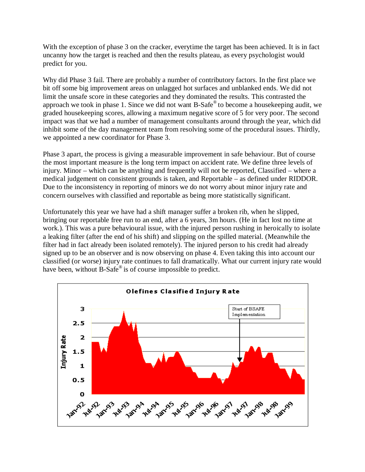With the exception of phase 3 on the cracker, everytime the target has been achieved. It is in fact uncanny how the target is reached and then the results plateau, as every psychologist would predict for you.

Why did Phase 3 fail. There are probably a number of contributory factors. In the first place we bit off some big improvement areas on unlagged hot surfaces and unblanked ends. We did not limit the unsafe score in these categories and they dominated the results. This contrasted the approach we took in phase 1. Since we did not want  $B$ -Safe® to become a housekeeping audit, we graded housekeeping scores, allowing a maximum negative score of 5 for very poor. The second impact was that we had a number of management consultants around through the year, which did inhibit some of the day management team from resolving some of the procedural issues. Thirdly, we appointed a new coordinator for Phase 3.

Phase 3 apart, the process is giving a measurable improvement in safe behaviour. But of course the most important measure is the long term impact on accident rate. We define three levels of injury. Minor – which can be anything and frequently will not be reported, Classified – where a medical judgement on consistent grounds is taken, and Reportable – as defined under RIDDOR. Due to the inconsistency in reporting of minors we do not worry about minor injury rate and concern ourselves with classified and reportable as being more statistically significant.

Unfortunately this year we have had a shift manager suffer a broken rib, when he slipped, bringing our reportable free run to an end, after a 6 years, 3m hours. (He in fact lost no time at work.). This was a pure behavioural issue, with the injured person rushing in heroically to isolate a leaking filter (after the end of his shift) and slipping on the spilled material. (Meanwhile the filter had in fact already been isolated remotely). The injured person to his credit had already signed up to be an observer and is now observing on phase 4. Even taking this into account our classified (or worse) injury rate continues to fall dramatically. What our current injury rate would have been, without B-Safe<sup>®</sup> is of course impossible to predict.

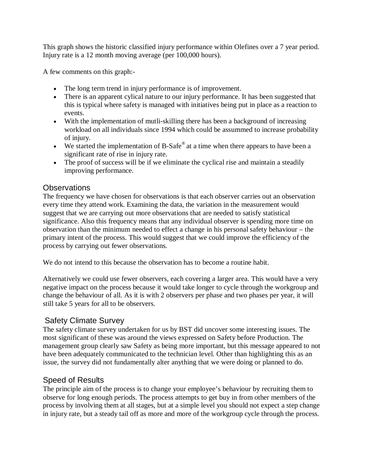This graph shows the historic classified injury performance within Olefines over a 7 year period. Injury rate is a 12 month moving average (per 100,000 hours).

A few comments on this graph:-

- The long term trend in injury performance is of improvement.
- There is an apparent cylical nature to our injury performance. It has been suggested that this is typical where safety is managed with initiatives being put in place as a reaction to events.
- With the implementation of mutli-skilling there has been a background of increasing workload on all individuals since 1994 which could be assummed to increase probability of injury.
- We started the implementation of B-Safe<sup>®</sup> at a time when there appears to have been a significant rate of rise in injury rate.
- The proof of success will be if we eliminate the cyclical rise and maintain a steadily improving performance.

# Observations

The frequency we have chosen for observations is that each observer carries out an observation every time they attend work. Examining the data, the variation in the measurement would suggest that we are carrying out more observations that are needed to satisfy statistical significance. Also this frequency means that any individual observer is spending more time on observation than the minimum needed to effect a change in his personal safety behaviour – the primary intent of the process. This would suggest that we could improve the efficiency of the process by carrying out fewer observations.

We do not intend to this because the observation has to become a routine habit.

Alternatively we could use fewer observers, each covering a larger area. This would have a very negative impact on the process because it would take longer to cycle through the workgroup and change the behaviour of all. As it is with 2 observers per phase and two phases per year, it will still take 5 years for all to be observers.

# Safety Climate Survey

The safety climate survey undertaken for us by BST did uncover some interesting issues. The most significant of these was around the views expressed on Safety before Production. The management group clearly saw Safety as being more important, but this message appeared to not have been adequately communicated to the technician level. Other than highlighting this as an issue, the survey did not fundamentally alter anything that we were doing or planned to do.

# Speed of Results

The principle aim of the process is to change your employee's behaviour by recruiting them to observe for long enough periods. The process attempts to get buy in from other members of the process by involving them at all stages, but at a simple level you should not expect a step change in injury rate, but a steady tail off as more and more of the workgroup cycle through the process.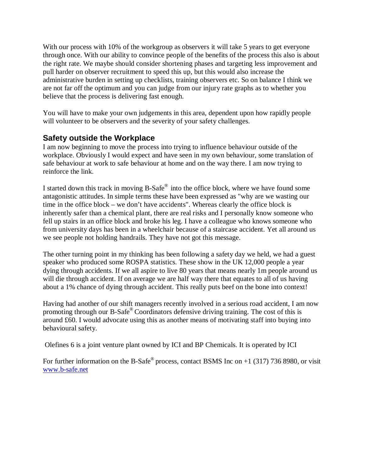With our process with 10% of the workgroup as observers it will take 5 years to get everyone through once. With our ability to convince people of the benefits of the process this also is about the right rate. We maybe should consider shortening phases and targeting less improvement and pull harder on observer recruitment to speed this up, but this would also increase the administrative burden in setting up checklists, training observers etc. So on balance I think we are not far off the optimum and you can judge from our injury rate graphs as to whether you believe that the process is delivering fast enough.

You will have to make your own judgements in this area, dependent upon how rapidly people will volunteer to be observers and the severity of your safety challenges.

# **Safety outside the Workplace**

I am now beginning to move the process into trying to influence behaviour outside of the workplace. Obviously I would expect and have seen in my own behaviour, some translation of safe behaviour at work to safe behaviour at home and on the way there. I am now trying to reinforce the link.

I started down this track in moving B-Safe® into the office block, where we have found some antagonistic attitudes. In simple terms these have been expressed as "why are we wasting our time in the office block – we don't have accidents". Whereas clearly the office block is inherently safer than a chemical plant, there are real risks and I personally know someone who fell up stairs in an office block and broke his leg. I have a colleague who knows someone who from university days has been in a wheelchair because of a staircase accident. Yet all around us we see people not holding handrails. They have not got this message.

The other turning point in my thinking has been following a safety day we held, we had a guest speaker who produced some ROSPA statistics. These show in the UK 12,000 people a year dying through accidents. If we all aspire to live 80 years that means nearly 1m people around us will die through accident. If on average we are half way there that equates to all of us having about a 1% chance of dying through accident. This really puts beef on the bone into context!

Having had another of our shift managers recently involved in a serious road accident, I am now promoting through our B-Safe® Coordinators defensive driving training. The cost of this is around £60. I would advocate using this as another means of motivating staff into buying into behavioural safety.

Olefines 6 is a joint venture plant owned by ICI and BP Chemicals. It is operated by ICI

For further information on the B-Safe<sup>®</sup> process, contact BSMS Inc on  $+1$  (317) 736 8980, or visit www.b-safe.net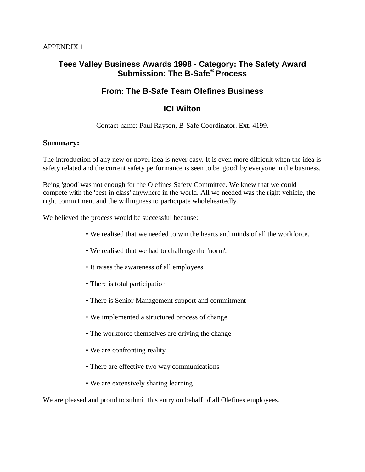# **Tees Valley Business Awards 1998 - Category: The Safety Award Submission: The B-Safe® Process**

# **From: The B-Safe Team Olefines Business**

# **ICI Wilton**

### Contact name: Paul Rayson, B-Safe Coordinator. Ext. 4199.

### **Summary:**

The introduction of any new or novel idea is never easy. It is even more difficult when the idea is safety related and the current safety performance is seen to be 'good' by everyone in the business.

Being 'good' was not enough for the Olefines Safety Committee. We knew that we could compete with the 'best in class' anywhere in the world. All we needed was the right vehicle, the right commitment and the willingness to participate wholeheartedly.

We believed the process would be successful because:

- We realised that we needed to win the hearts and minds of all the workforce.
- We realised that we had to challenge the 'norm'.
- It raises the awareness of all employees
- There is total participation
- There is Senior Management support and commitment
- We implemented a structured process of change
- The workforce themselves are driving the change
- We are confronting reality
- There are effective two way communications
- We are extensively sharing learning

We are pleased and proud to submit this entry on behalf of all Olefines employees.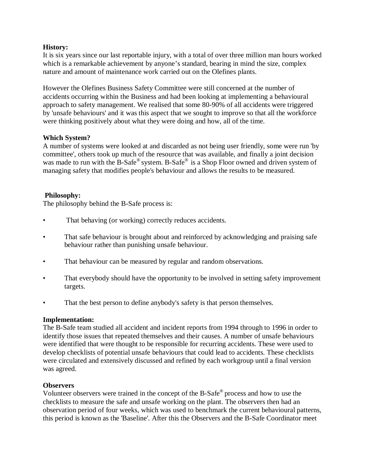#### **History:**

It is six years since our last reportable injury, with a total of over three million man hours worked which is a remarkable achievement by anyone's standard, bearing in mind the size, complex nature and amount of maintenance work carried out on the Olefines plants.

However the Olefines Business Safety Committee were still concerned at the number of accidents occurring within the Business and had been looking at implementing a behavioural approach to safety management. We realised that some 80-90% of all accidents were triggered by 'unsafe behaviours' and it was this aspect that we sought to improve so that all the workforce were thinking positively about what they were doing and how, all of the time.

#### **Which System?**

A number of systems were looked at and discarded as not being user friendly, some were run 'by committee', others took up much of the resource that was available, and finally a joint decision was made to run with the B-Safe® system. B-Safe® is a Shop Floor owned and driven system of managing safety that modifies people's behaviour and allows the results to be measured.

#### **Philosophy:**

The philosophy behind the B-Safe process is:

- That behaving (or working) correctly reduces accidents.
- That safe behaviour is brought about and reinforced by acknowledging and praising safe behaviour rather than punishing unsafe behaviour.
- That behaviour can be measured by regular and random observations.
- That everybody should have the opportunity to be involved in setting safety improvement targets.
- That the best person to define anybody's safety is that person themselves.

#### **Implementation:**

The B-Safe team studied all accident and incident reports from 1994 through to 1996 in order to identify those issues that repeated themselves and their causes. A number of unsafe behaviours were identified that were thought to be responsible for recurring accidents. These were used to develop checklists of potential unsafe behaviours that could lead to accidents. These checklists were circulated and extensively discussed and refined by each workgroup until a final version was agreed.

#### **Observers**

Volunteer observers were trained in the concept of the B-Safe® process and how to use the checklists to measure the safe and unsafe working on the plant. The observers then had an observation period of four weeks, which was used to benchmark the current behavioural patterns, this period is known as the 'Baseline'. After this the Observers and the B-Safe Coordinator meet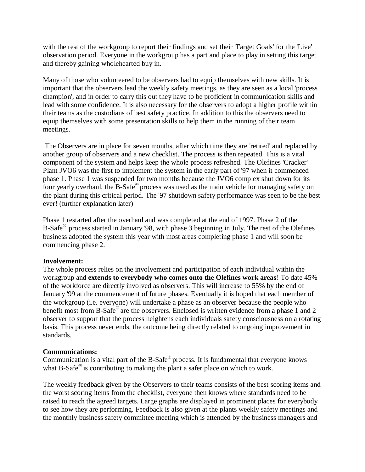with the rest of the workgroup to report their findings and set their 'Target Goals' for the 'Live' observation period. Everyone in the workgroup has a part and place to play in setting this target and thereby gaining wholehearted buy in.

Many of those who volunteered to be observers had to equip themselves with new skills. It is important that the observers lead the weekly safety meetings, as they are seen as a local 'process champion', and in order to carry this out they have to be proficient in communication skills and lead with some confidence. It is also necessary for the observers to adopt a higher profile within their teams as the custodians of best safety practice. In addition to this the observers need to equip themselves with some presentation skills to help them in the running of their team meetings.

The Observers are in place for seven months, after which time they are 'retired' and replaced by another group of observers and a new checklist. The process is then repeated. This is a vital component of the system and helps keep the whole process refreshed. The Olefines 'Cracker' Plant JVO6 was the first to implement the system in the early part of '97 when it commenced phase 1. Phase 1 was suspended for two months because the JVO6 complex shut down for its four yearly overhaul, the B-Safe® process was used as the main vehicle for managing safety on the plant during this critical period. The '97 shutdown safety performance was seen to be the best ever! (further explanation later)

Phase 1 restarted after the overhaul and was completed at the end of 1997. Phase 2 of the B-Safe<sup>®</sup> process started in January '98, with phase 3 beginning in July. The rest of the Olefines business adopted the system this year with most areas completing phase 1 and will soon be commencing phase 2.

#### **Involvement:**

The whole process relies on the involvement and participation of each individual within the workgroup and **extends to everybody who comes onto the Olefines work areas**! To date 45% of the workforce are directly involved as observers. This will increase to 55% by the end of January '99 at the commencement of future phases. Eventually it is hoped that each member of the workgroup (i.e. everyone) will undertake a phase as an observer because the people who benefit most from B-Safe<sup>®</sup> are the observers. Enclosed is written evidence from a phase 1 and 2 observer to support that the process heightens each individuals safety consciousness on a rotating basis. This process never ends, the outcome being directly related to ongoing improvement in standards.

#### **Communications:**

Communication is a vital part of the B-Safe $^{\circ}$  process. It is fundamental that everyone knows what B-Safe<sup>®</sup> is contributing to making the plant a safer place on which to work.

The weekly feedback given by the Observers to their teams consists of the best scoring items and the worst scoring items from the checklist, everyone then knows where standards need to be raised to reach the agreed targets. Large graphs are displayed in prominent places for everybody to see how they are performing. Feedback is also given at the plants weekly safety meetings and the monthly business safety committee meeting which is attended by the business managers and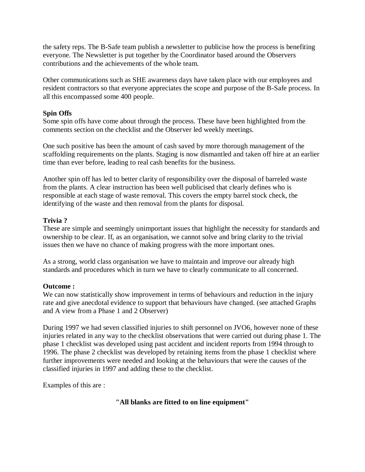the safety reps. The B-Safe team publish a newsletter to publicise how the process is benefiting everyone. The Newsletter is put together by the Coordinator based around the Observers contributions and the achievements of the whole team.

Other communications such as SHE awareness days have taken place with our employees and resident contractors so that everyone appreciates the scope and purpose of the B-Safe process. In all this encompassed some 400 people.

### **Spin Offs**

Some spin offs have come about through the process. These have been highlighted from the comments section on the checklist and the Observer led weekly meetings.

One such positive has been the amount of cash saved by more thorough management of the scaffolding requirements on the plants. Staging is now dismantled and taken off hire at an earlier time than ever before, leading to real cash benefits for the business.

Another spin off has led to better clarity of responsibility over the disposal of barreled waste from the plants. A clear instruction has been well publicised that clearly defines who is responsible at each stage of waste removal. This covers the empty barrel stock check, the identifying of the waste and then removal from the plants for disposal.

# **Trivia ?**

These are simple and seemingly unimportant issues that highlight the necessity for standards and ownership to be clear. If, as an organisation, we cannot solve and bring clarity to the trivial issues then we have no chance of making progress with the more important ones.

As a strong, world class organisation we have to maintain and improve our already high standards and procedures which in turn we have to clearly communicate to all concerned.

### **Outcome :**

We can now statistically show improvement in terms of behaviours and reduction in the injury rate and give anecdotal evidence to support that behaviours have changed. (see attached Graphs and A view from a Phase 1 and 2 Observer)

During 1997 we had seven classified injuries to shift personnel on JVO6, however none of these injuries related in any way to the checklist observations that were carried out during phase 1. The phase 1 checklist was developed using past accident and incident reports from 1994 through to 1996. The phase 2 checklist was developed by retaining items from the phase 1 checklist where further improvements were needed and looking at the behaviours that were the causes of the classified injuries in 1997 and adding these to the checklist.

Examples of this are :

### **"All blanks are fitted to on line equipment"**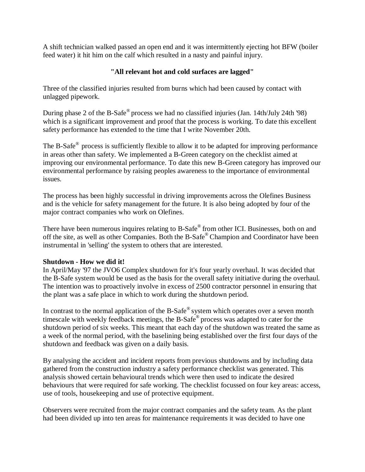A shift technician walked passed an open end and it was intermittently ejecting hot BFW (boiler feed water) it hit him on the calf which resulted in a nasty and painful injury.

# **"All relevant hot and cold surfaces are lagged"**

Three of the classified injuries resulted from burns which had been caused by contact with unlagged pipework.

During phase 2 of the B-Safe® process we had no classified injuries (Jan. 14th/July 24th '98) which is a significant improvement and proof that the process is working. To date this excellent safety performance has extended to the time that I write November 20th.

The B-Safe<sup>®</sup> process is sufficiently flexible to allow it to be adapted for improving performance in areas other than safety. We implemented a B-Green category on the checklist aimed at improving our environmental performance. To date this new B-Green category has improved our environmental performance by raising peoples awareness to the importance of environmental issues.

The process has been highly successful in driving improvements across the Olefines Business and is the vehicle for safety management for the future. It is also being adopted by four of the major contract companies who work on Olefines.

There have been numerous inquires relating to B-Safe® from other ICI. Businesses, both on and off the site, as well as other Companies. Both the B-Safe® Champion and Coordinator have been instrumental in 'selling' the system to others that are interested.

### **Shutdown - How we did it!**

In April/May '97 the JVO6 Complex shutdown for it's four yearly overhaul. It was decided that the B-Safe system would be used as the basis for the overall safety initiative during the overhaul. The intention was to proactively involve in excess of 2500 contractor personnel in ensuring that the plant was a safe place in which to work during the shutdown period.

In contrast to the normal application of the B-Safe<sup>®</sup> system which operates over a seven month timescale with weekly feedback meetings, the B-Safe® process was adapted to cater for the shutdown period of six weeks. This meant that each day of the shutdown was treated the same as a week of the normal period, with the baselining being established over the first four days of the shutdown and feedback was given on a daily basis.

By analysing the accident and incident reports from previous shutdowns and by including data gathered from the construction industry a safety performance checklist was generated. This analysis showed certain behavioural trends which were then used to indicate the desired behaviours that were required for safe working. The checklist focussed on four key areas: access, use of tools, housekeeping and use of protective equipment.

Observers were recruited from the major contract companies and the safety team. As the plant had been divided up into ten areas for maintenance requirements it was decided to have one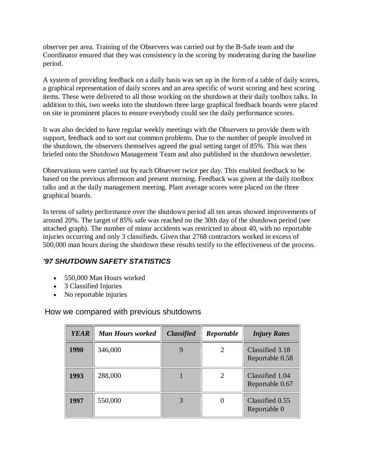observer per area. Training of the Observers was carried out by the B-Safe team and the Coordinator ensured that they was consistency in the scoring by moderating during the baseline period.

A system of providing feedback on a daily basis was set up in the form of a table of daily scores, a graphical representation of daily scores and an area specific of worst scoring and best scoring items. These were delivered to all those working on the shutdown at their daily toolbox talks. In addition to this, two weeks into the shutdown three large graphical feedback boards were placed on site in prominent places to ensure everybody could see the daily performance scores.

It was also decided to have regular weekly meetings with the Observers to provide them with support, feedback and to sort out common problems. Due to the number of people involved in the shutdown, the observers themselves agreed the goal setting target of 85%. This was then briefed onto the Shutdown Management Team and also published in the shutdown newsletter.

Observations were carried out by each Observer twice per day. This enabled feedback to be based on the previous afternoon and present morning. Feedback was given at the daily toolbox talks and at the daily management meeting. Plant average scores were placed on the three graphical boards.

In terms of safety performance over the shutdown period all ten areas showed improvements of around 20%. The target of 85% safe was reached on the 30th day of the shutdown period (see attached graph). The number of minor accidents was restricted to about 40, with no reportable injuries occurring and only 3 classifieds. Given that 2768 contractors worked in excess of 500,000 man hours during the shutdown these results testify to the effectiveness of the process.

# *'97 SHUTDOWN SAFETY STATISTICS*

- 550,000 Man Hours worked
- 3 Classified Injuries
- No reportable injuries

How we compared with previous shutdowns

| <b>YEAR</b> | <b>Man Hours worked</b> | <b>Classified</b> | Reportable | <b>Injury Rates</b>                |
|-------------|-------------------------|-------------------|------------|------------------------------------|
| 1990        | 346,000                 |                   | 2          | Classified 3.18<br>Reportable 0.58 |
| 1993        | 288,000                 |                   | 2          | Classified 1.04<br>Reportable 0.67 |
| 1997        | 550,000                 |                   |            | Classified 0.55<br>Reportable 0    |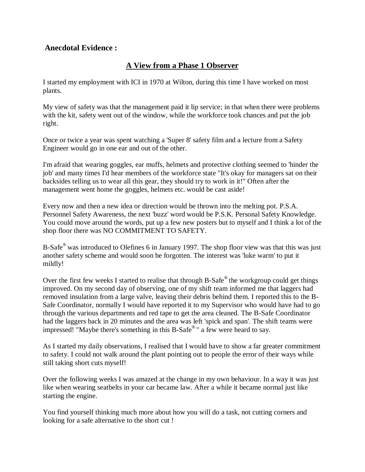# **Anecdotal Evidence :**

# **A View from a Phase 1 Observer**

I started my employment with ICI in 1970 at Wilton, during this time I have worked on most plants.

My view of safety was that the management paid it lip service; in that when there were problems with the kit, safety went out of the window, while the workforce took chances and put the job right.

Once or twice a year was spent watching a 'Super 8' safety film and a lecture from a Safety Engineer would go in one ear and out of the other.

I'm afraid that wearing goggles, ear muffs, helmets and protective clothing seemed to 'hinder the job' and many times I'd hear members of the workforce state "It's okay for managers sat on their backsides telling us to wear all this gear, they should try to work in it!" Often after the management went home the goggles, helmets etc. would be cast aside!

Every now and then a new idea or direction would be thrown into the melting pot. P.S.A. Personnel Safety Awareness, the next 'buzz' word would be P.S.K. Personal Safety Knowledge. You could move around the words, put up a few new posters but to myself and I think a lot of the shop floor there was NO COMMITMENT TO SAFETY.

B-Safe<sup>®</sup> was introduced to Olefines 6 in January 1997. The shop floor view was that this was just another safety scheme and would soon be forgotten. The interest was 'luke warm' to put it mildly!

Over the first few weeks I started to realise that through B-Safe<sup>®</sup> the workgroup could get things improved. On my second day of observing, one of my shift team informed me that laggers had removed insulation from a large valve, leaving their debris behind them. I reported this to the B-Safe Coordinator, normally I would have reported it to my Supervisor who would have had to go through the various departments and red tape to get the area cleaned. The B-Safe Coordinator had the laggers back in 20 minutes and the area was left 'spick and span'. The shift teams were impressed! "Maybe there's something in this B-Safe® " a few were heard to say.

As I started my daily observations, I realised that I would have to show a far greater commitment to safety. I could not walk around the plant pointing out to people the error of their ways while still taking short cuts myself!

Over the following weeks I was amazed at the change in my own behaviour. In a way it was just like when wearing seatbelts in your car became law. After a while it became normal just like starting the engine.

You find yourself thinking much more about how you will do a task, not cutting corners and looking for a safe alternative to the short cut !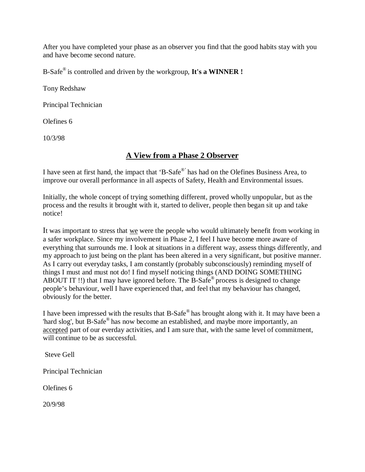After you have completed your phase as an observer you find that the good habits stay with you and have become second nature.

B-Safe® is controlled and driven by the workgroup, **It's a WINNER !** 

Tony Redshaw

Principal Technician

Olefines 6

10/3/98

# **A View from a Phase 2 Observer**

I have seen at first hand, the impact that 'B-Safe®' has had on the Olefines Business Area, to improve our overall performance in all aspects of Safety, Health and Environmental issues.

Initially, the whole concept of trying something different, proved wholly unpopular, but as the process and the results it brought with it, started to deliver, people then began sit up and take notice!

It was important to stress that we were the people who would ultimately benefit from working in a safer workplace. Since my involvement in Phase 2, I feel I have become more aware of everything that surrounds me. I look at situations in a different way, assess things differently, and my approach to just being on the plant has been altered in a very significant, but positive manner. As I carry out everyday tasks, I am constantly (probably subconsciously) reminding myself of things I must and must not do! I find myself noticing things (AND DOING SOMETHING ABOUT IT !!) that I may have ignored before. The B-Safe® process is designed to change people's behaviour, well I have experienced that, and feel that my behaviour has changed, obviously for the better.

I have been impressed with the results that B-Safe® has brought along with it. It may have been a 'hard slog', but B-Safe® has now become an established, and maybe more importantly, an accepted part of our everday activities, and I am sure that, with the same level of commitment, will continue to be as successful.

Steve Gell

Principal Technician

Olefines 6

20/9/98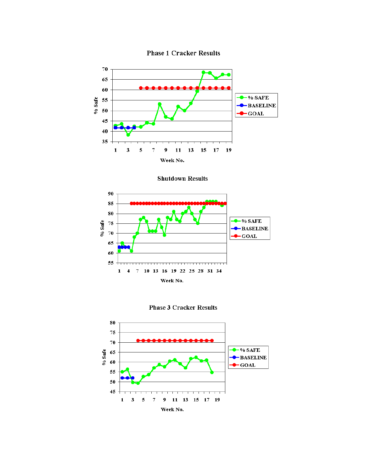

**Phase 1 Cracker Results** 

**Shutdown Results** 



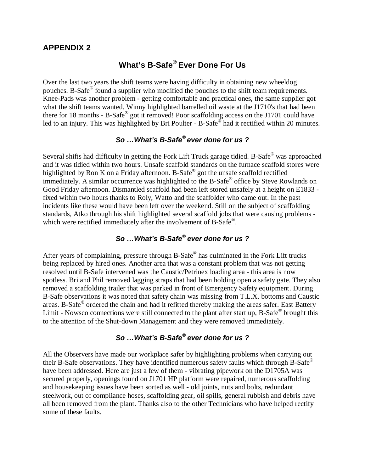### **APPENDIX 2**

# **What's B-Safe® Ever Done For Us**

Over the last two years the shift teams were having difficulty in obtaining new wheeldog pouches. B-Safe® found a supplier who modified the pouches to the shift team requirements. Knee-Pads was another problem - getting comfortable and practical ones, the same supplier got what the shift teams wanted. Winny highlighted barrelled oil waste at the J1710's that had been there for 18 months - B-Safe® got it removed! Poor scaffolding access on the J1701 could have led to an injury. This was highlighted by Bri Poulter - B-Safe® had it rectified within 20 minutes.

# *So …What's B-Safe® ever done for us ?*

Several shifts had difficulty in getting the Fork Lift Truck garage tidied. B-Safe® was approached and it was tidied within two hours. Unsafe scaffold standards on the furnace scaffold stores were highlighted by Ron K on a Friday afternoon. B-Safe $^{\circledast}$  got the unsafe scaffold rectified immediately. A similar occurrence was highlighted to the B-Safe® office by Steve Rowlands on Good Friday afternoon. Dismantled scaffold had been left stored unsafely at a height on E1833 fixed within two hours thanks to Roly, Watto and the scaffolder who came out. In the past incidents like these would have been left over the weekend. Still on the subject of scaffolding standards, Atko through his shift highlighted several scaffold jobs that were causing problems which were rectified immediately after the involvement of B-Safe®.

# *So …What's B-Safe® ever done for us ?*

After years of complaining, pressure through B-Safe® has culminated in the Fork Lift trucks being replaced by hired ones. Another area that was a constant problem that was not getting resolved until B-Safe intervened was the Caustic/Petrinex loading area - this area is now spotless. Bri and Phil removed lagging straps that had been holding open a safety gate. They also removed a scaffolding trailer that was parked in front of Emergency Safety equipment. During B-Safe observations it was noted that safety chain was missing from T.L.X. bottoms and Caustic areas. B-Safe® ordered the chain and had it refitted thereby making the areas safer. East Battery Limit - Nowsco connections were still connected to the plant after start up, B-Safe® brought this to the attention of the Shut-down Management and they were removed immediately.

# *So …What's B-Safe® ever done for us ?*

All the Observers have made our workplace safer by highlighting problems when carrying out their B-Safe observations. They have identified numerous safety faults which through B-Safe<sup>®</sup> have been addressed. Here are just a few of them - vibrating pipework on the D1705A was secured properly, openings found on J1701 HP platform were repaired, numerous scaffolding and housekeeping issues have been sorted as well - old joints, nuts and bolts, redundant steelwork, out of compliance hoses, scaffolding gear, oil spills, general rubbish and debris have all been removed from the plant. Thanks also to the other Technicians who have helped rectify some of these faults.